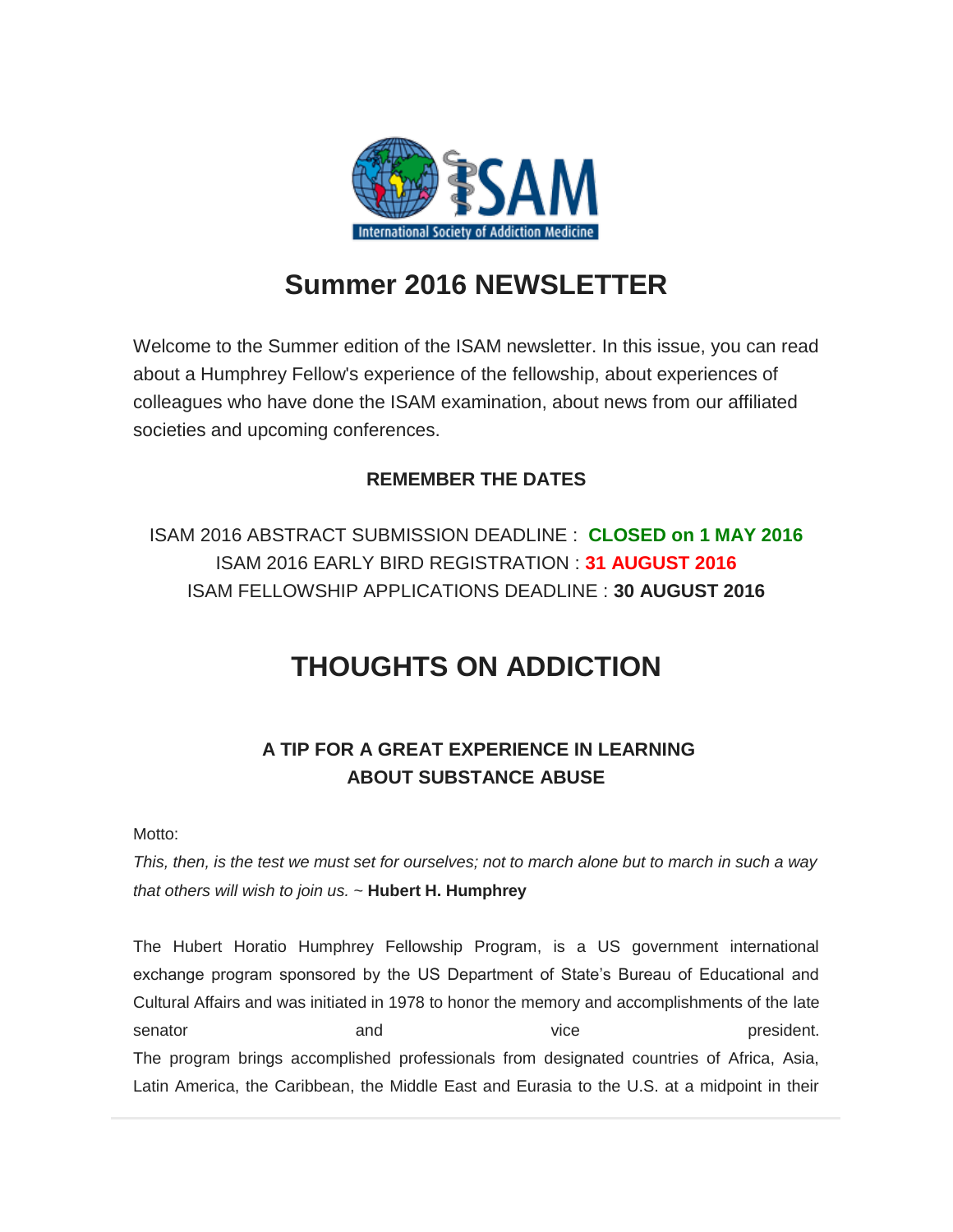

# **Summer 2016 NEWSLETTER**

Welcome to the Summer edition of the ISAM newsletter. In this issue, you can read about a Humphrey Fellow's experience of the fellowship, about experiences of colleagues who have done the ISAM examination, about news from our affiliated societies and upcoming conferences.

#### **REMEMBER THE DATES**

ISAM 2016 ABSTRACT SUBMISSION DEADLINE : **CLOSED on 1 MAY 2016** ISAM 2016 EARLY BIRD REGISTRATION : **31 AUGUST 2016** ISAM FELLOWSHIP APPLICATIONS DEADLINE : **30 AUGUST 2016**

# **THOUGHTS ON ADDICTION**

#### **A TIP FOR A GREAT EXPERIENCE IN LEARNING ABOUT SUBSTANCE ABUSE**

Motto:

*This, then, is the test we must set for ourselves; not to march alone but to march in such a way that others will wish to join us.* ~ **Hubert H. Humphrey**

The Hubert Horatio Humphrey Fellowship Program, is a US government international exchange program sponsored by the US Department of State's Bureau of Educational and Cultural Affairs and was initiated in 1978 to honor the memory and accomplishments of the late senator and and vice vice president. The program brings accomplished professionals from designated countries of Africa, Asia, Latin America, the Caribbean, the Middle East and Eurasia to the U.S. at a midpoint in their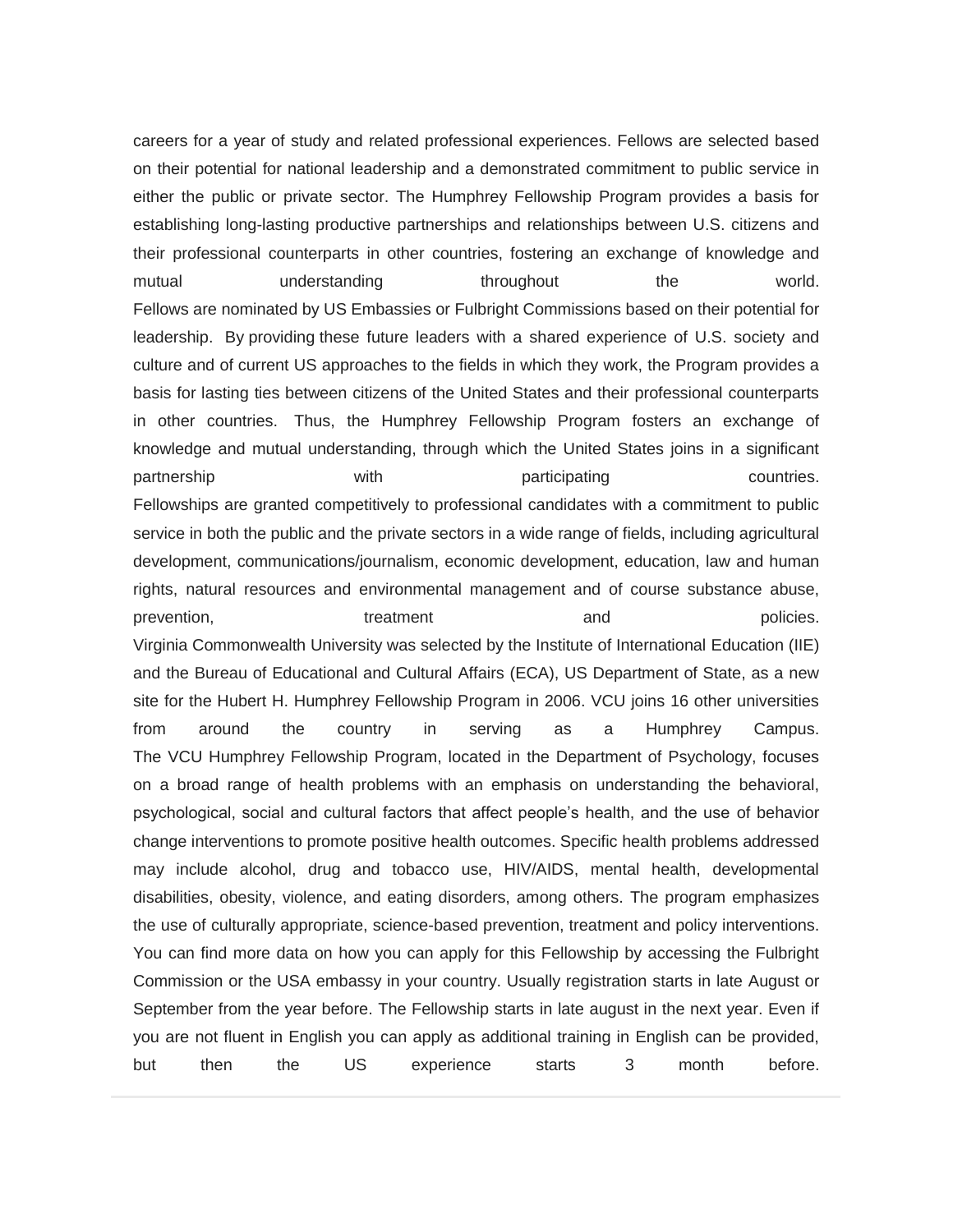careers for a year of study and related professional experiences. Fellows are selected based on their potential for national leadership and a demonstrated commitment to public service in either the public or private sector. The Humphrey Fellowship Program provides a basis for establishing long-lasting productive partnerships and relationships between U.S. citizens and their professional counterparts in other countries, fostering an exchange of knowledge and mutual understanding throughout the world. Fellows are nominated by US Embassies or Fulbright Commissions based on their potential for leadership. By providing these future leaders with a shared experience of U.S. society and culture and of current US approaches to the fields in which they work, the Program provides a basis for lasting ties between citizens of the United States and their professional counterparts in other countries. Thus, the Humphrey Fellowship Program fosters an exchange of knowledge and mutual understanding, through which the United States joins in a significant partnership with with participating countries. Fellowships are granted competitively to professional candidates with a commitment to public service in both the public and the private sectors in a wide range of fields, including agricultural development, communications/journalism, economic development, education, law and human rights, natural resources and environmental management and of course substance abuse, prevention, treatment and policies. Virginia Commonwealth University was selected by the Institute of International Education (IIE) and the Bureau of Educational and Cultural Affairs (ECA), US Department of State, as a new site for the Hubert H. Humphrey Fellowship Program in 2006. VCU joins 16 other universities from around the country in serving as a Humphrey Campus. The VCU Humphrey Fellowship Program, located in the Department of Psychology, focuses on a broad range of health problems with an emphasis on understanding the behavioral, psychological, social and cultural factors that affect people's health, and the use of behavior change interventions to promote positive health outcomes. Specific health problems addressed may include alcohol, drug and tobacco use, HIV/AIDS, mental health, developmental disabilities, obesity, violence, and eating disorders, among others. The program emphasizes the use of culturally appropriate, science-based prevention, treatment and policy interventions. You can find more data on how you can apply for this Fellowship by accessing the Fulbright Commission or the USA embassy in your country. Usually registration starts in late August or September from the year before. The Fellowship starts in late august in the next year. Even if you are not fluent in English you can apply as additional training in English can be provided, but then the US experience starts 3 month before.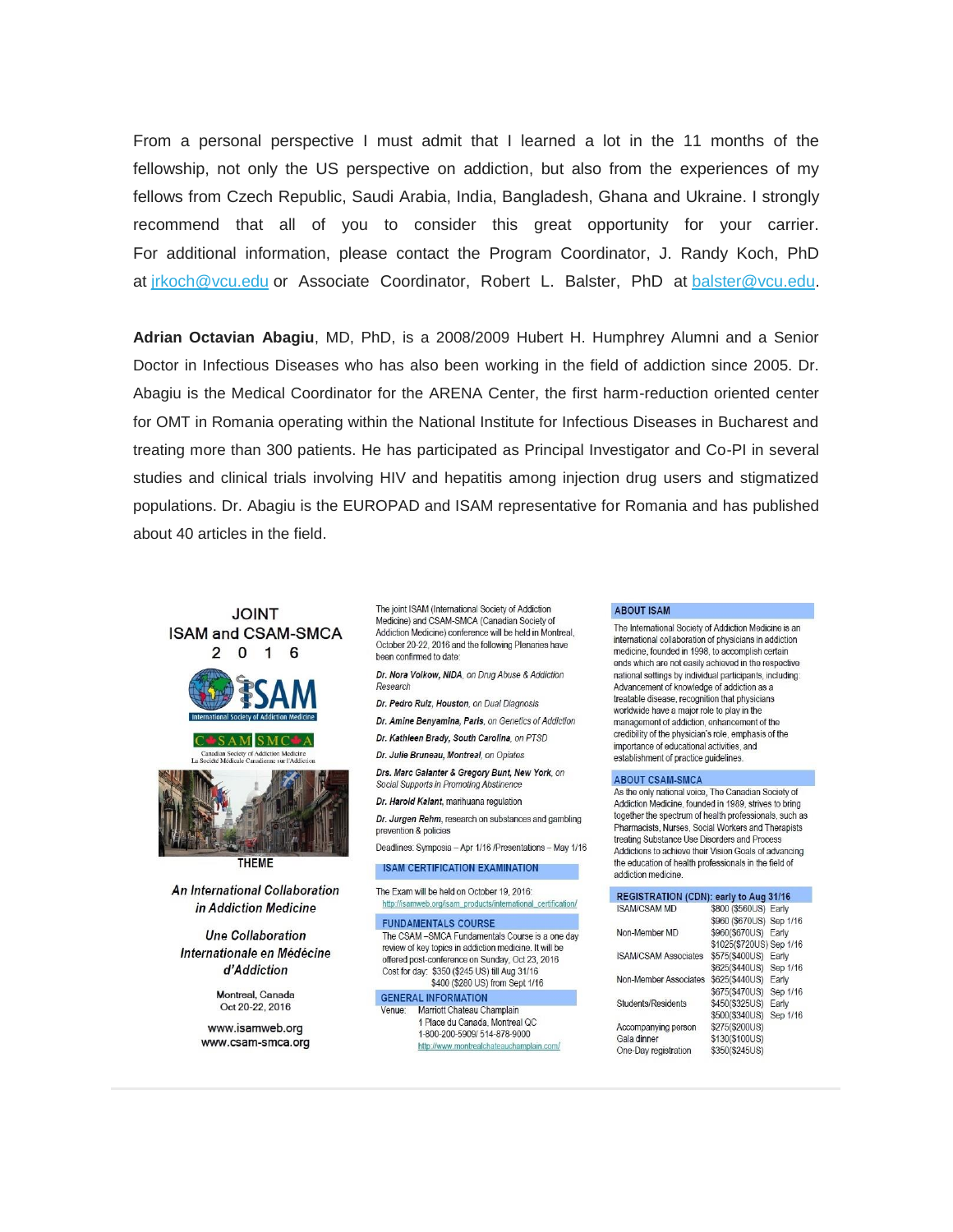From a personal perspective I must admit that I learned a lot in the 11 months of the fellowship, not only the US perspective on addiction, but also from the experiences of my fellows from Czech Republic, Saudi Arabia, India, Bangladesh, Ghana and Ukraine. I strongly recommend that all of you to consider this great opportunity for your carrier. For additional information, please contact the Program Coordinator, J. Randy Koch, PhD at [jrkoch@vcu.edu](mailto:jrkoch@vcu.edu) or Associate Coordinator, Robert L. Balster, PhD at [balster@vcu.edu.](mailto:balster@vcu.edu)

**Adrian Octavian Abagiu**, MD, PhD, is a 2008/2009 Hubert H. Humphrey Alumni and a Senior Doctor in Infectious Diseases who has also been working in the field of addiction since 2005. Dr. Abagiu is the Medical Coordinator for the ARENA Center, the first harm-reduction oriented center for OMT in Romania operating within the National Institute for Infectious Diseases in Bucharest and treating more than 300 patients. He has participated as Principal Investigator and Co-PI in several studies and clinical trials involving HIV and hepatitis among injection drug users and stigmatized populations. Dr. Abagiu is the EUROPAD and ISAM representative for Romania and has published about 40 articles in the field.

#### TUINI. **ISAM and CSAM-SMCA**  $\overline{2}$  $0 \quad 1 \quad 6$







**THEME** 

An International Collaboration in Addiction Medicine

**Une Collaboration** Internationale en Médécine d'Addiction

> Montreal, Canada Oct 20-22, 2016

www.isamweb.org www.csam-smca.org

The joint ISAM (International Society of Addiction Medicine) and CSAM-SMCA (Canadian Society of Addiction Medicine) conference will be held in Montreal, October 20-22, 2016 and the following Plenaries have been confirmed to date:

Dr. Nora Volkow, NIDA, on Drug Abuse & Addiction Research

- Dr. Pedro Ruiz, Houston, on Dual Diagnosis
- Dr. Amine Benvamina, Paris on Genetics of Addiction
- Dr. Kathleen Brady, South Carolina, on PTSD

Dr. Julie Bruneau, Montreal, on Opiates

Drs. Marc Galanter & Gregory Bunt, New York, on Social Supports in Promoting Abstinence

Dr. Harold Kalant, marihuana regulation

Dr. Jurgen Rehm, research on substances and gambling prevention & policies

Deadlines: Symposia - Apr 1/16 /Presentations - May 1/16

**ISAM CERTIFICATION EXAMINATION** 

The Exam will be held on October 19, 2016: http://isamweb.org/isam\_products/international\_certification/

**FUNDAMENTALS COURSE** The CSAM-SMCA Fundamentals Course is a one day review of key topics in addiction medicine. It will be offered post-conference on Sunday, Oct 23, 2016 Cost for day: \$350 (\$245 US) till Aug 31/16 \$400 (\$280 US) from Sept 1/16

**GENERAL INFORMATION** Marriott Chateau Champlain Venue: 1 Place du Canada, Montreal QC 1-800-200-5909/ 514-878-9000 http://www.montrealchateauchamplain.com/

#### **ABOUT ISAM**

The International Society of Addiction Medicine is an international collaboration of physicians in addiction medicine founded in 1998 to accomplish certain ends which are not easily achieved in the respective national settings by individual participants, including: Advancement of knowledge of addiction as a treatable disease, recognition that physicians worldwide have a major role to play in the management of addiction, enhancement of the credibility of the physician's role emphasis of the importance of educational activities and establishment of practice quidelines.

#### **ABOUT CSAM-SMCA**

As the only national voice. The Canadian Society of Addiction Medicine founded in 1989, strives to bring together the spectrum of health professionals, such as Pharmacists Nurses Social Workers and Therapists treating Substance Use Disorders and Process Addictions to achieve their Vision Goals of advancing the education of health professionals in the field of addiction medicine.

| REGISTRATION (CDN): early to Aug 31/16 |                            |  |
|----------------------------------------|----------------------------|--|
| SAM/CSAM MD                            | \$800 (\$560US) Early      |  |
|                                        | \$960 (\$670US) Sep 1/16   |  |
| <b>Non-Member MD</b>                   | \$960(\$670US) Early       |  |
|                                        | \$1025(\$720US) Sep 1/16   |  |
| <b>SAM/CSAM Associates</b>             | \$575(\$400US) Early       |  |
|                                        | \$625(\$440US) Sep 1/16    |  |
| <b>Non-Member Associates</b>           | \$625(\$440US)<br>Early    |  |
|                                        | \$675(\$470US)<br>Sep 1/16 |  |
| Students/Residents                     | \$450(\$325US)<br>Early    |  |
|                                        | Sep 1/16<br>\$500(\$340US) |  |
| Accompanying person                    | \$275(\$200US)             |  |
| Gala dinner                            | \$130(\$100US)             |  |
| One-Day registration                   | \$350(\$245US)             |  |
|                                        |                            |  |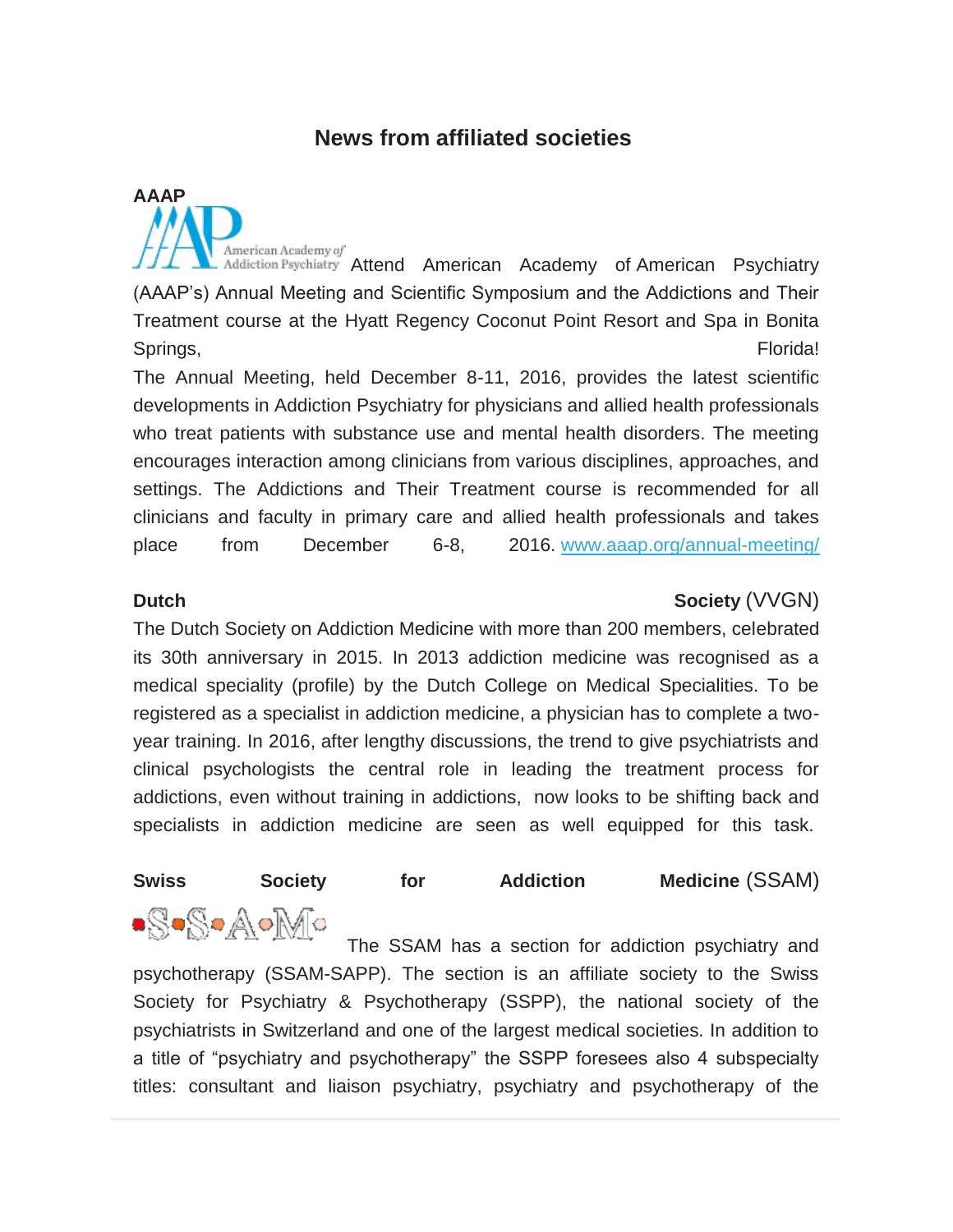#### **News from affiliated societies**

American Academy of Addiction Psychiatry Attend American Academy of American Psychiatry (AAAP's) Annual Meeting and Scientific Symposium and the Addictions and Their Treatment course at the Hyatt Regency Coconut Point Resort and Spa in Bonita Springs, Electric Contract Contract Contract Contract Contract Contract Contract Contract Contract Contract Contract Contract Contract Contract Contract Contract Contract Contract Contract Contract Contract Contract Contra

The Annual Meeting, held December 8-11, 2016, provides the latest scientific developments in Addiction Psychiatry for physicians and allied health professionals who treat patients with substance use and mental health disorders. The meeting encourages interaction among clinicians from various disciplines, approaches, and settings. The Addictions and Their Treatment course is recommended for all clinicians and faculty in primary care and allied health professionals and takes place from December 6-8, 2016. [www.aaap.org/annual-meeting/](http://www.aaap.org/annual-meeting/)

**AAAP**

#### **Dutch Society** (VVGN)

The Dutch Society on Addiction Medicine with more than 200 members, celebrated its 30th anniversary in 2015. In 2013 addiction medicine was recognised as a medical speciality (profile) by the Dutch College on Medical Specialities. To be registered as a specialist in addiction medicine, a physician has to complete a twoyear training. In 2016, after lengthy discussions, the trend to give psychiatrists and clinical psychologists the central role in leading the treatment process for addictions, even without training in addictions, now looks to be shifting back and specialists in addiction medicine are seen as well equipped for this task.

#### **Swiss Society for Addiction Medicine** (SSAM)

.S.S.A.M. The SSAM has a section for addiction psychiatry and psychotherapy (SSAM-SAPP). The section is an affiliate society to the Swiss Society for Psychiatry & Psychotherapy (SSPP), the national society of the psychiatrists in Switzerland and one of the largest medical societies. In addition to a title of "psychiatry and psychotherapy" the SSPP foresees also 4 subspecialty titles: consultant and liaison psychiatry, psychiatry and psychotherapy of the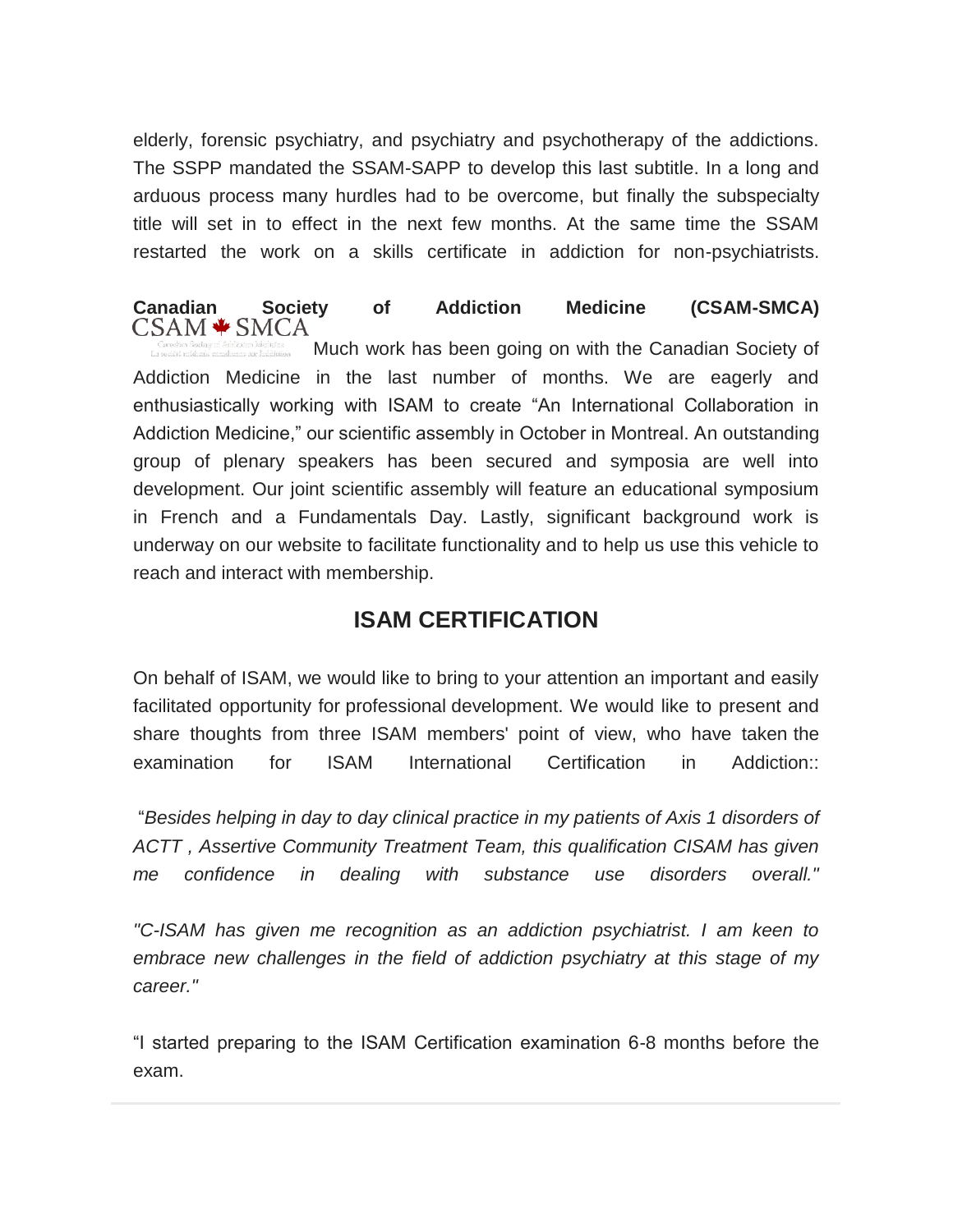elderly, forensic psychiatry, and psychiatry and psychotherapy of the addictions. The SSPP mandated the SSAM-SAPP to develop this last subtitle. In a long and arduous process many hurdles had to be overcome, but finally the subspecialty title will set in to effect in the next few months. At the same time the SSAM restarted the work on a skills certificate in addiction for non-psychiatrists.

# **Canadian Society of Addiction Medicine (CSAM-SMCA)**

Much work has been going on with the Canadian Society of Addiction Medicine in the last number of months. We are eagerly and enthusiastically working with ISAM to create "An International Collaboration in Addiction Medicine," our scientific assembly in October in Montreal. An outstanding group of plenary speakers has been secured and symposia are well into development. Our joint scientific assembly will feature an educational symposium in French and a Fundamentals Day. Lastly, significant background work is underway on our website to facilitate functionality and to help us use this vehicle to reach and interact with membership.

### **ISAM CERTIFICATION**

On behalf of ISAM, we would like to bring to your attention an important and easily facilitated opportunity for professional development. We would like to present and share thoughts from three ISAM members' point of view, who have taken the examination for ISAM International Certification in Addiction::

"*Besides helping in day to day clinical practice in my patients of Axis 1 disorders of ACTT , Assertive Community Treatment Team, this qualification CISAM has given me confidence in dealing with substance use disorders overall."*

*"C-ISAM has given me recognition as an addiction psychiatrist. I am keen to embrace new challenges in the field of addiction psychiatry at this stage of my career."*

"I started preparing to the ISAM Certification examination 6-8 months before the exam.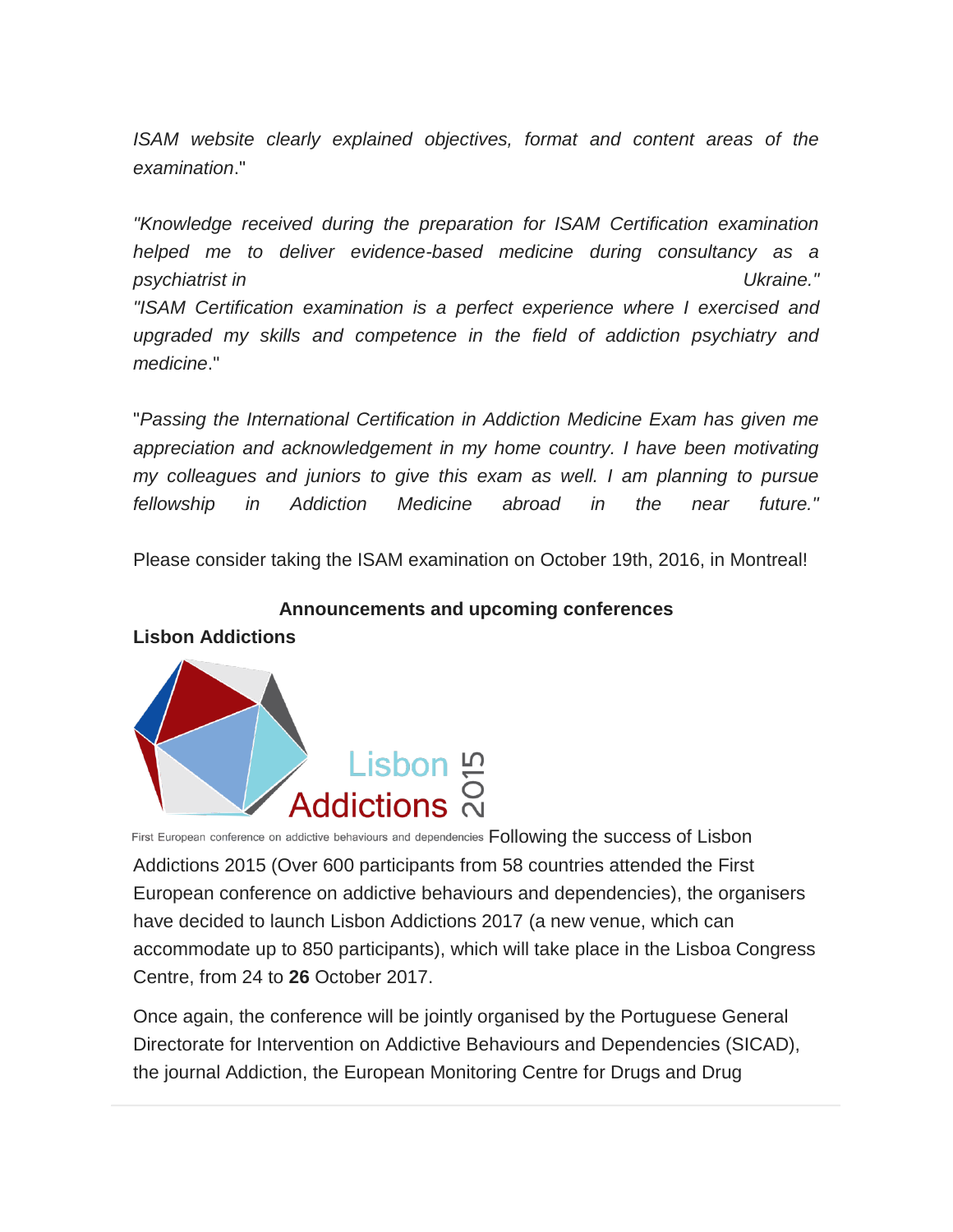*ISAM website clearly explained objectives, format and content areas of the examination*."

*"Knowledge received during the preparation for ISAM Certification examination helped me to deliver evidence-based medicine during consultancy as a psychiatrist in Ukraine."*

*"ISAM Certification examination is a perfect experience where I exercised and upgraded my skills and competence in the field of addiction psychiatry and medicine*."

"*Passing the International Certification in Addiction Medicine Exam has given me appreciation and acknowledgement in my home country. I have been motivating my colleagues and juniors to give this exam as well. I am planning to pursue fellowship in Addiction Medicine abroad in the near future."*

Please consider taking the ISAM examination on October 19th, 2016, in Montreal!

#### **Announcements and upcoming conferences**

#### **Lisbon Addictions**



First European conference on addictive behaviours and dependencies Following the success of Lisbon Addictions 2015 (Over 600 participants from 58 countries attended the First European conference on addictive behaviours and dependencies), the organisers have decided to launch Lisbon Addictions 2017 (a new venue, which can accommodate up to 850 participants), which will take place in the Lisboa Congress Centre, from 24 to **26** October 2017.

Once again, the conference will be jointly organised by the Portuguese General Directorate for Intervention on Addictive Behaviours and Dependencies (SICAD), the journal Addiction, the European Monitoring Centre for Drugs and Drug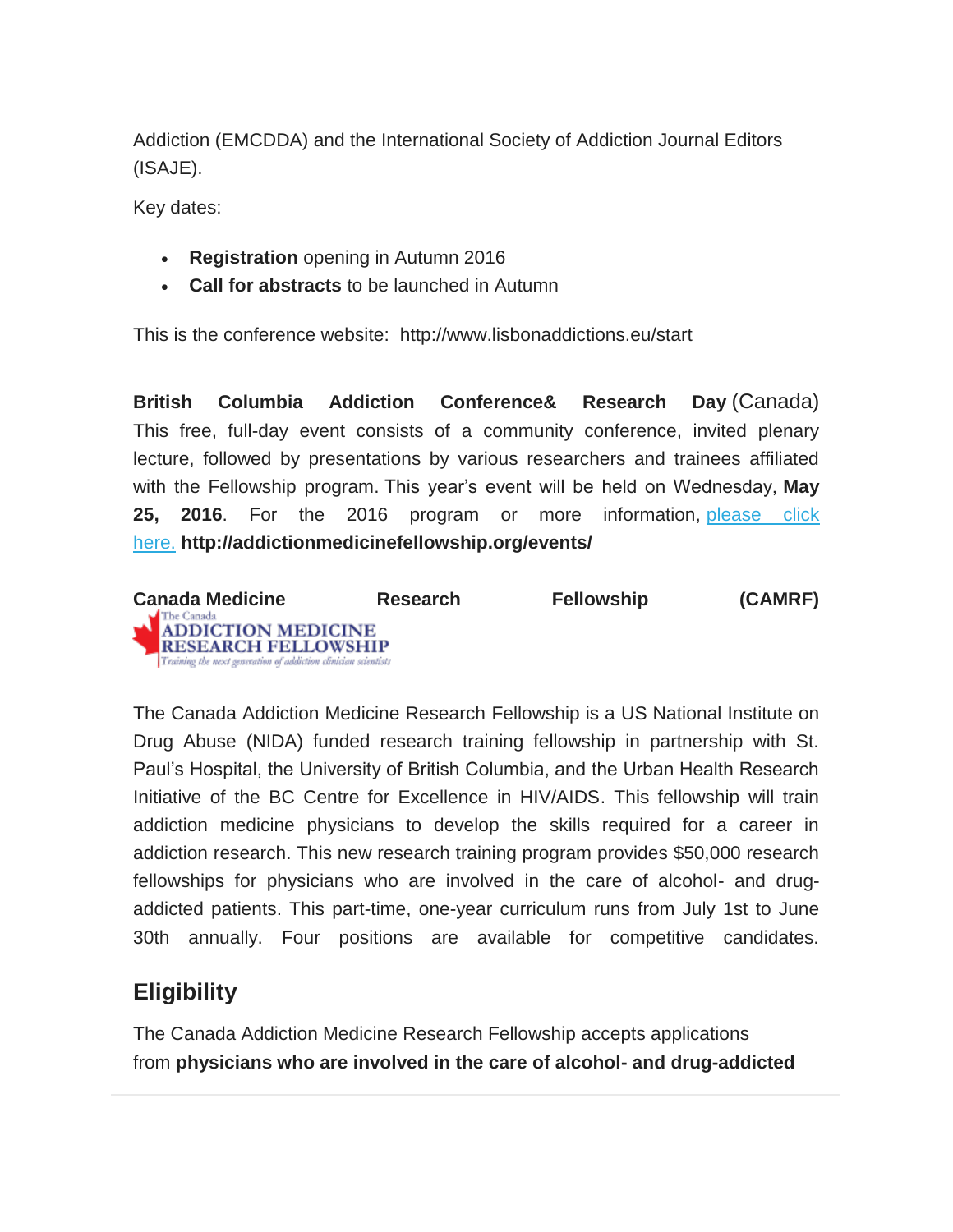Addiction (EMCDDA) and the International Society of Addiction Journal Editors (ISAJE).

Key dates:

- **Registration** opening in Autumn 2016
- **Call for abstracts** to be launched in Autumn

This is the conference website: http://www.lisbonaddictions.eu/start

**British Columbia Addiction Conference& Research Day** (Canada) This free, full-day event consists of a community conference, invited plenary lecture, followed by presentations by various researchers and trainees affiliated with the Fellowship program. This year's event will be held on Wednesday, **May 25, 2016**. For the 2016 program or more information, [please click](http://addictionmedicinefellowship.org/events/bc-addiction-conference-research-day-2016)  [here.](http://addictionmedicinefellowship.org/events/bc-addiction-conference-research-day-2016) **http://addictionmedicinefellowship.org/events/**



The Canada Addiction Medicine Research Fellowship is a US National Institute on Drug Abuse (NIDA) funded research training fellowship in partnership with St. Paul's Hospital, the University of British Columbia, and the Urban Health Research Initiative of the BC Centre for Excellence in HIV/AIDS. This fellowship will train addiction medicine physicians to develop the skills required for a career in addiction research. This new research training program provides \$50,000 research fellowships for physicians who are involved in the care of alcohol- and drugaddicted patients. This part-time, one-year curriculum runs from July 1st to June 30th annually. Four positions are available for competitive candidates.

## **Eligibility**

The Canada Addiction Medicine Research Fellowship accepts applications from **physicians who are involved in the care of alcohol- and drug-addicted**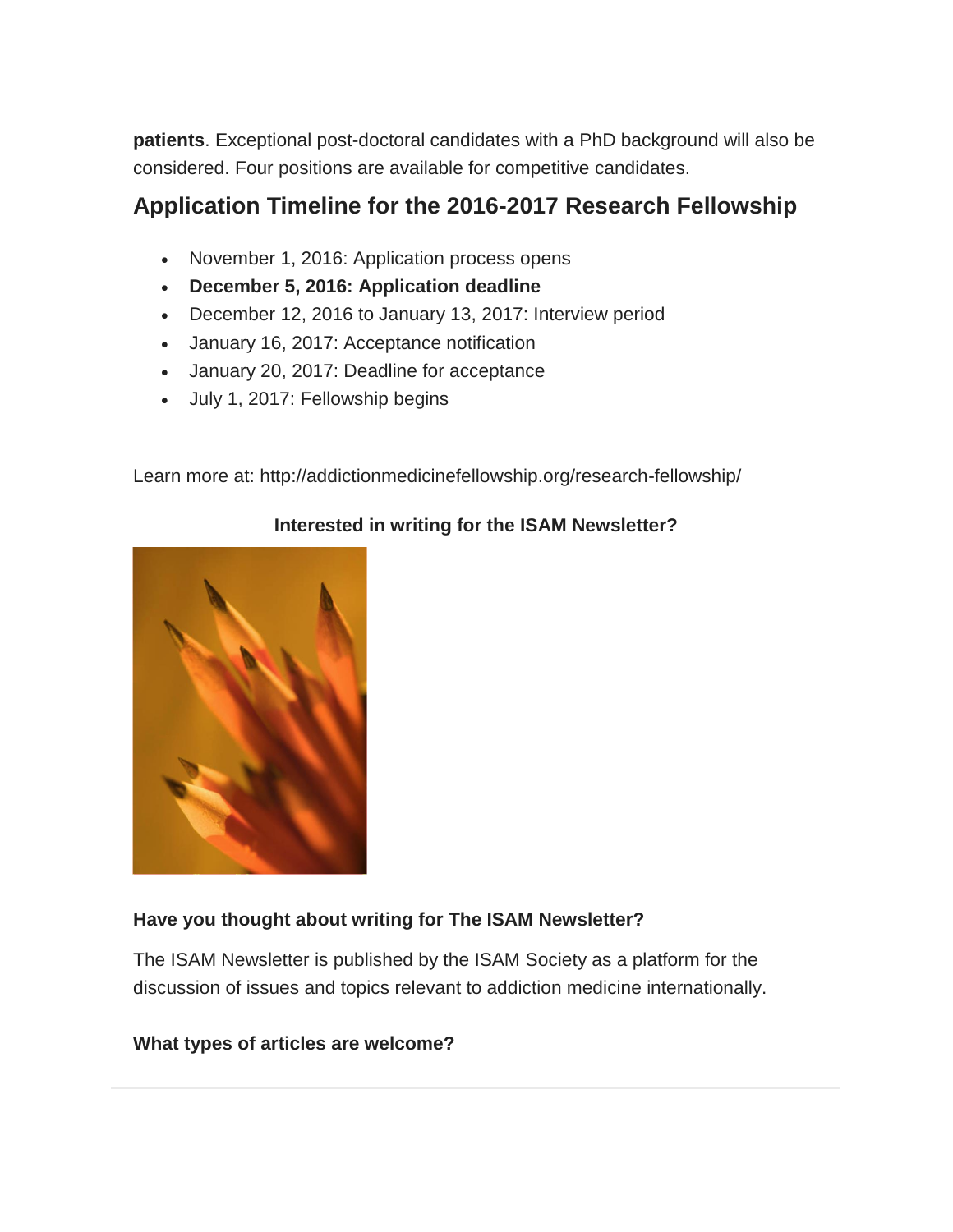**patients**. Exceptional post-doctoral candidates with a PhD background will also be considered. Four positions are available for competitive candidates.

# **Application Timeline for the 2016-2017 Research Fellowship**

- November 1, 2016: Application process opens
- **December 5, 2016: Application deadline**
- December 12, 2016 to January 13, 2017: Interview period
- January 16, 2017: Acceptance notification
- January 20, 2017: Deadline for acceptance
- July 1, 2017: Fellowship begins

Learn more at: http://addictionmedicinefellowship.org/research-fellowship/



#### **Interested in writing for the ISAM Newsletter?**

#### **Have you thought about writing for The ISAM Newsletter?**

The ISAM Newsletter is published by the ISAM Society as a platform for the discussion of issues and topics relevant to addiction medicine internationally.

#### **What types of articles are welcome?**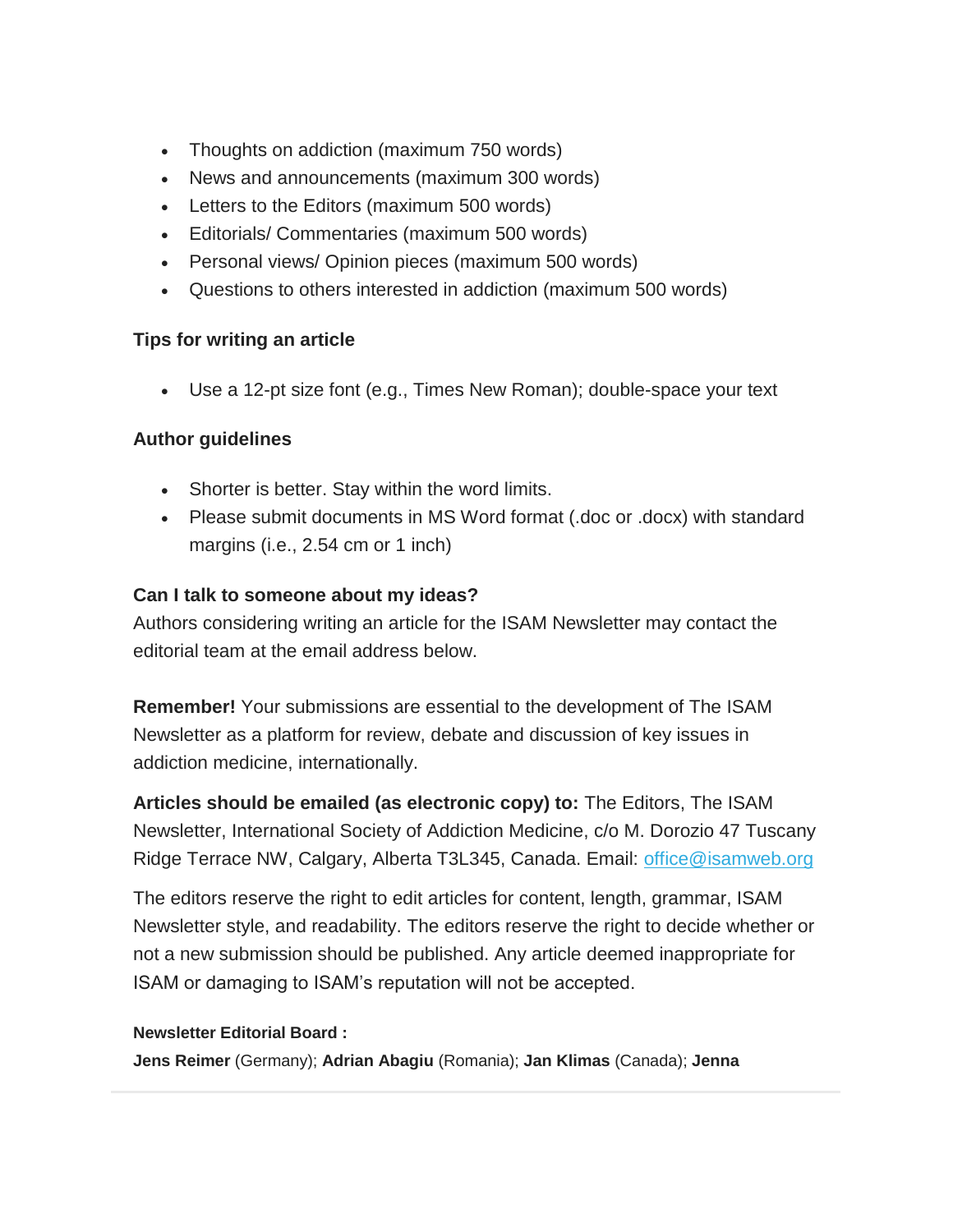- Thoughts on addiction (maximum 750 words)
- News and announcements (maximum 300 words)
- **•** Letters to the Editors (maximum 500 words)
- Editorials/ Commentaries (maximum 500 words)
- Personal views/ Opinion pieces (maximum 500 words)
- Questions to others interested in addiction (maximum 500 words)

#### **Tips for writing an article**

Use a 12-pt size font (e.g., Times New Roman); double-space your text

#### **Author guidelines**

- Shorter is better. Stay within the word limits.
- Please submit documents in MS Word format (.doc or .docx) with standard margins (i.e., 2.54 cm or 1 inch)

#### **Can I talk to someone about my ideas?**

Authors considering writing an article for the ISAM Newsletter may contact the editorial team at the email address below.

**Remember!** Your submissions are essential to the development of The ISAM Newsletter as a platform for review, debate and discussion of key issues in addiction medicine, internationally.

**Articles should be emailed (as electronic copy) to:** The Editors, The ISAM Newsletter, International Society of Addiction Medicine, c/o M. Dorozio 47 Tuscany Ridge Terrace NW, Calgary, Alberta T3L345, Canada. Email: [office@isamweb.org](mailto:office@isamweb.org)

The editors reserve the right to edit articles for content, length, grammar, ISAM Newsletter style, and readability. The editors reserve the right to decide whether or not a new submission should be published. Any article deemed inappropriate for ISAM or damaging to ISAM's reputation will not be accepted.

#### **Newsletter Editorial Board :**

**Jens Reimer** (Germany); **Adrian Abagiu** (Romania); **Jan Klimas** (Canada); **Jenna**